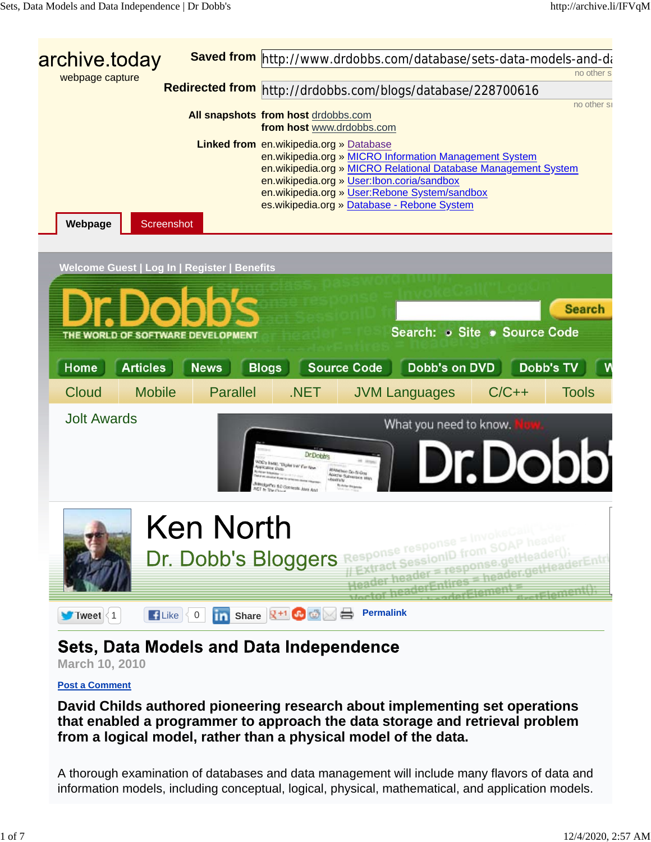

# **Sets, Data Models and Data Independence**

**March 10, 2010**

#### **Post a Comment**

**David Childs authored pioneering research about implementing set operations that enabled a programmer to approach the data storage and retrieval problem from a logical model, rather than a physical model of the data.**

A thorough examination of databases and data management will include many flavors of data and information models, including conceptual, logical, physical, mathematical, and application models.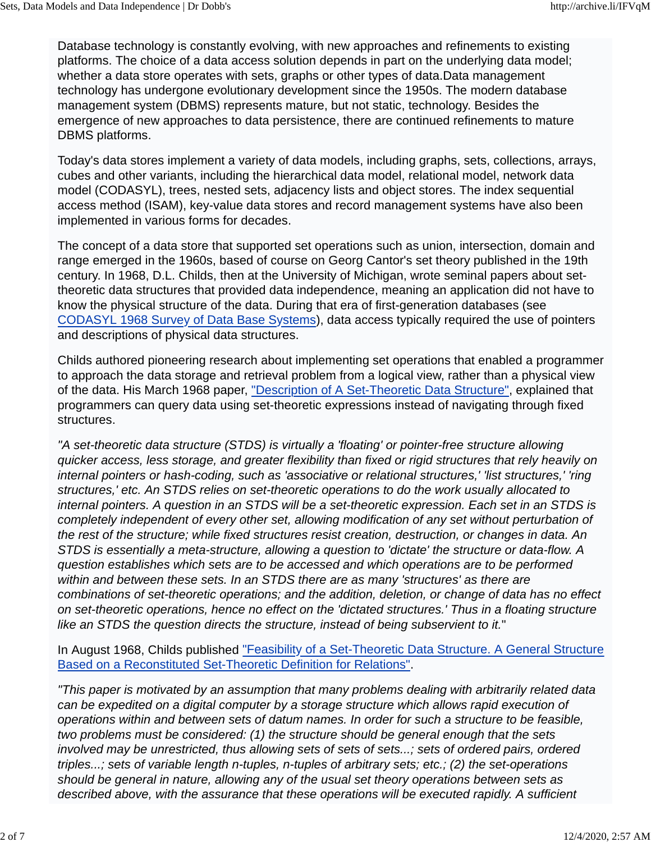Database technology is constantly evolving, with new approaches and refinements to existing platforms. The choice of a data access solution depends in part on the underlying data model; whether a data store operates with sets, graphs or other types of data.Data management technology has undergone evolutionary development since the 1950s. The modern database management system (DBMS) represents mature, but not static, technology. Besides the emergence of new approaches to data persistence, there are continued refinements to mature DBMS platforms.

Today's data stores implement a variety of data models, including graphs, sets, collections, arrays, cubes and other variants, including the hierarchical data model, relational model, network data model (CODASYL), trees, nested sets, adjacency lists and object stores. The index sequential access method (ISAM), key-value data stores and record management systems have also been implemented in various forms for decades.

The concept of a data store that supported set operations such as union, intersection, domain and range emerged in the 1960s, based of course on Georg Cantor's set theory published in the 19th century. In 1968, D.L. Childs, then at the University of Michigan, wrote seminal papers about settheoretic data structures that provided data independence, meaning an application did not have to know the physical structure of the data. During that era of first-generation databases (see CODASYL 1968 Survey of Data Base Systems), data access typically required the use of pointers and descriptions of physical data structures.

Childs authored pioneering research about implementing set operations that enabled a programmer to approach the data storage and retrieval problem from a logical view, rather than a physical view of the data. His March 1968 paper, "Description of A Set-Theoretic Data Structure", explained that programmers can query data using set-theoretic expressions instead of navigating through fixed structures.

*"A set-theoretic data structure (STDS) is virtually a 'floating' or pointer-free structure allowing quicker access, less storage, and greater flexibility than fixed or rigid structures that rely heavily on internal pointers or hash-coding, such as 'associative or relational structures,' 'list structures,' 'ring structures,' etc. An STDS relies on set-theoretic operations to do the work usually allocated to internal pointers. A question in an STDS will be a set-theoretic expression. Each set in an STDS is completely independent of every other set, allowing modification of any set without perturbation of the rest of the structure; while fixed structures resist creation, destruction, or changes in data. An STDS is essentially a meta-structure, allowing a question to 'dictate' the structure or data-flow. A question establishes which sets are to be accessed and which operations are to be performed within and between these sets. In an STDS there are as many 'structures' as there are combinations of set-theoretic operations; and the addition, deletion, or change of data has no effect on set-theoretic operations, hence no effect on the 'dictated structures.' Thus in a floating structure like an STDS the question directs the structure, instead of being subservient to it.*"

In August 1968, Childs published "Feasibility of a Set-Theoretic Data Structure. A General Structure Based on a Reconstituted Set-Theoretic Definition for Relations".

*"This paper is motivated by an assumption that many problems dealing with arbitrarily related data can be expedited on a digital computer by a storage structure which allows rapid execution of operations within and between sets of datum names. In order for such a structure to be feasible, two problems must be considered: (1) the structure should be general enough that the sets involved may be unrestricted, thus allowing sets of sets of sets...; sets of ordered pairs, ordered triples...; sets of variable length n-tuples, n-tuples of arbitrary sets; etc.; (2) the set-operations should be general in nature, allowing any of the usual set theory operations between sets as described above, with the assurance that these operations will be executed rapidly. A sufficient*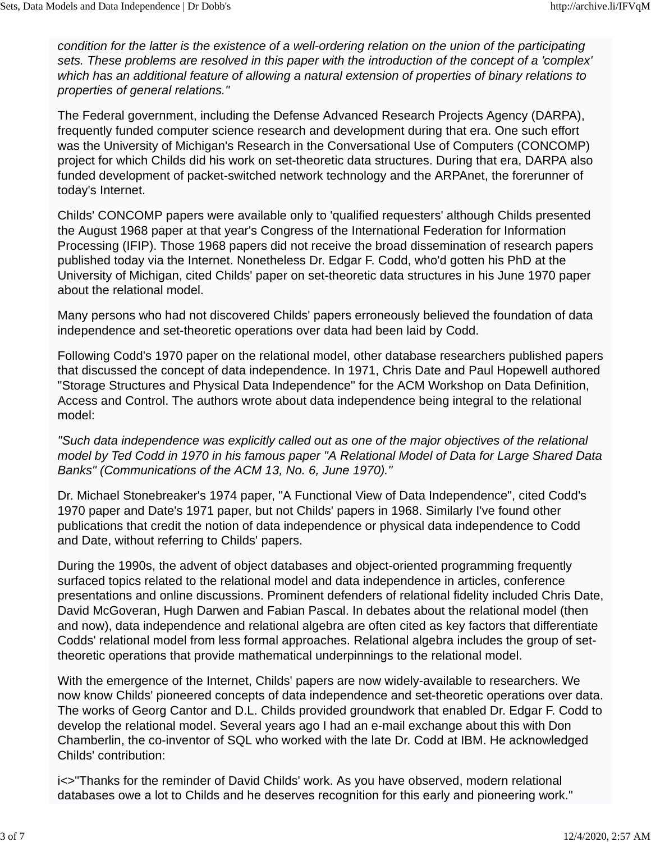*condition for the latter is the existence of a well-ordering relation on the union of the participating sets. These problems are resolved in this paper with the introduction of the concept of a 'complex' which has an additional feature of allowing a natural extension of properties of binary relations to properties of general relations."*

The Federal government, including the Defense Advanced Research Projects Agency (DARPA), frequently funded computer science research and development during that era. One such effort was the University of Michigan's Research in the Conversational Use of Computers (CONCOMP) project for which Childs did his work on set-theoretic data structures. During that era, DARPA also funded development of packet-switched network technology and the ARPAnet, the forerunner of today's Internet.

Childs' CONCOMP papers were available only to 'qualified requesters' although Childs presented the August 1968 paper at that year's Congress of the International Federation for Information Processing (IFIP). Those 1968 papers did not receive the broad dissemination of research papers published today via the Internet. Nonetheless Dr. Edgar F. Codd, who'd gotten his PhD at the University of Michigan, cited Childs' paper on set-theoretic data structures in his June 1970 paper about the relational model.

Many persons who had not discovered Childs' papers erroneously believed the foundation of data independence and set-theoretic operations over data had been laid by Codd.

Following Codd's 1970 paper on the relational model, other database researchers published papers that discussed the concept of data independence. In 1971, Chris Date and Paul Hopewell authored "Storage Structures and Physical Data Independence" for the ACM Workshop on Data Definition, Access and Control. The authors wrote about data independence being integral to the relational model:

*"Such data independence was explicitly called out as one of the major objectives of the relational model by Ted Codd in 1970 in his famous paper "A Relational Model of Data for Large Shared Data Banks" (Communications of the ACM 13, No. 6, June 1970)."*

Dr. Michael Stonebreaker's 1974 paper, "A Functional View of Data Independence", cited Codd's 1970 paper and Date's 1971 paper, but not Childs' papers in 1968. Similarly I've found other publications that credit the notion of data independence or physical data independence to Codd and Date, without referring to Childs' papers.

During the 1990s, the advent of object databases and object-oriented programming frequently surfaced topics related to the relational model and data independence in articles, conference presentations and online discussions. Prominent defenders of relational fidelity included Chris Date, David McGoveran, Hugh Darwen and Fabian Pascal. In debates about the relational model (then and now), data independence and relational algebra are often cited as key factors that differentiate Codds' relational model from less formal approaches. Relational algebra includes the group of settheoretic operations that provide mathematical underpinnings to the relational model.

With the emergence of the Internet, Childs' papers are now widely-available to researchers. We now know Childs' pioneered concepts of data independence and set-theoretic operations over data. The works of Georg Cantor and D.L. Childs provided groundwork that enabled Dr. Edgar F. Codd to develop the relational model. Several years ago I had an e-mail exchange about this with Don Chamberlin, the co-inventor of SQL who worked with the late Dr. Codd at IBM. He acknowledged Childs' contribution:

i<>"Thanks for the reminder of David Childs' work. As you have observed, modern relational databases owe a lot to Childs and he deserves recognition for this early and pioneering work."